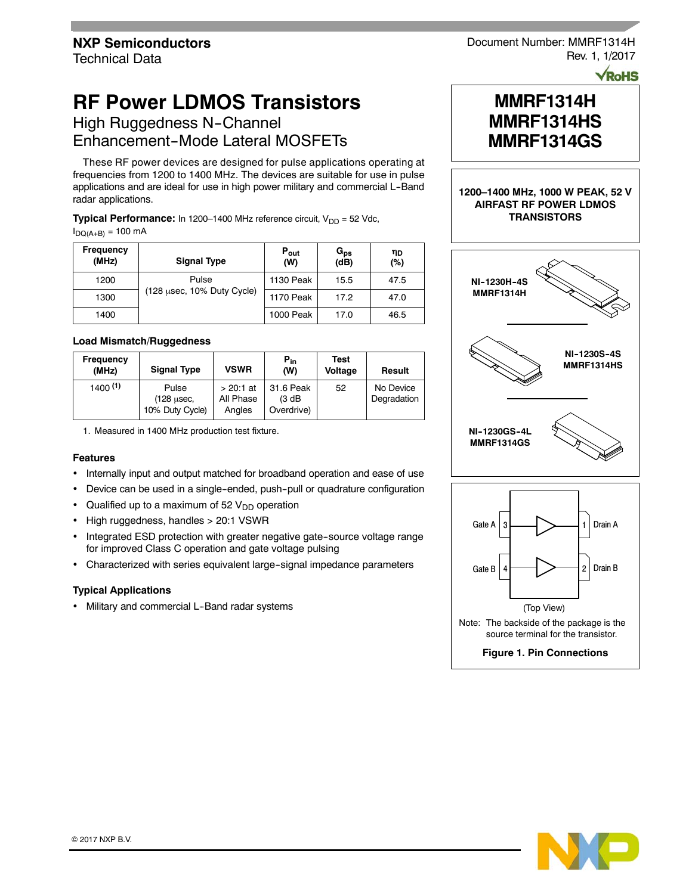# **RF Power LDMOS Transistors**

High Ruggedness N-Channel Enhancement-Mode Lateral MOSFETs

These RF power devices are designed for pulse applications operating at frequencies from 1200 to 1400 MHz. The devices are suitable for use in pulse applications and are ideal for use in high power military and commercial L-Band radar applications.

**Typical Performance:** In 1200–1400 MHz reference circuit, V<sub>DD</sub> = 52 Vdc,  $I_{\text{DO}(A+B)} = 100 \text{ mA}$ 

| <b>Frequency</b><br>(MHz) | <b>Signal Type</b>         | $P_{\text{out}}$<br>(W) | $G_{\mathsf{ps}}$<br>(dB) | ηD<br>(%) |
|---------------------------|----------------------------|-------------------------|---------------------------|-----------|
| 1200                      | Pulse                      | 1130 Peak               | 15.5                      | 47.5      |
| 1300                      | (128 usec, 10% Duty Cycle) | <b>1170 Peak</b>        | 17.2                      | 47.0      |
| 1400                      |                            | 1000 Peak               | 17.0                      | 46.5      |

## **Load Mismatch/Ruggedness**

| Frequency<br>(MHz) | <b>Signal Type</b>                     | <b>VSWR</b>                        | $P_{in}$<br>(W)                   | Test<br>Voltage | Result                   |
|--------------------|----------------------------------------|------------------------------------|-----------------------------------|-----------------|--------------------------|
| 1400(1)            | Pulse<br>(128 usec,<br>10% Duty Cycle) | $> 20:1$ at<br>All Phase<br>Angles | 31.6 Peak<br>(3 dB)<br>Overdrive) | 52              | No Device<br>Degradation |

1. Measured in 1400 MHz production test fixture.

## **Features**

- Internally input and output matched for broadband operation and ease of use
- Device can be used in a single-ended, push-pull or quadrature configuration
- Qualified up to a maximum of 52  $V<sub>DD</sub>$  operation
- High ruggedness, handles > 20:1 VSWR
- Integrated ESD protection with greater negative gate-source voltage range for improved Class C operation and gate voltage pulsing
- Characterized with series equivalent large-signal impedance parameters

#### **Typical Applications**

• Military and commercial L-Band radar systems

Document Number: MMRF1314H Rev. 1, 1/2017

**VRoHS** 

## **MMRF1314H MMRF1314HS MMRF1314GS**

## **1200–1400 MHz, 1000 W PEAK, 52 V AIRFAST RF POWER LDMOS TRANSISTORS**





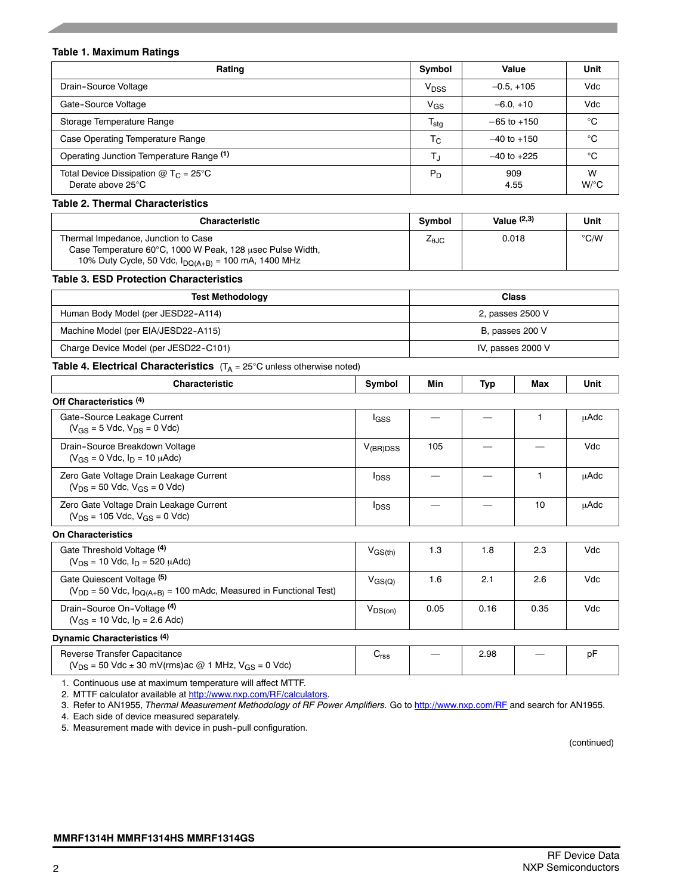## **Table 1. Maximum Ratings**

| Rating                                                                | Symbol           | Value           | Unit                      |
|-----------------------------------------------------------------------|------------------|-----------------|---------------------------|
| Drain-Source Voltage                                                  | V <sub>DSS</sub> | $-0.5, +105$    | Vdc                       |
| Gate-Source Voltage                                                   | $V_{GS}$         | $-6.0.+10$      | Vdc                       |
| Storage Temperature Range                                             | $T_{\text{stg}}$ | $-65$ to $+150$ | °C                        |
| Case Operating Temperature Range                                      | $T_{\rm C}$      | $-40$ to $+150$ | °C                        |
| Operating Junction Temperature Range (1)                              | T,               | $-40$ to $+225$ | °C                        |
| Total Device Dissipation @ T <sub>C</sub> = 25°C<br>Derate above 25°C | $P_D$            | 909<br>4.55     | W<br>$W$ <sup>o</sup> $C$ |

## **Table 2. Thermal Characteristics**

| <b>Characteristic</b>                                                                                                                                        | Symbol         | Value $(2,3)$ | Unit          |
|--------------------------------------------------------------------------------------------------------------------------------------------------------------|----------------|---------------|---------------|
| Thermal Impedance, Junction to Case<br>Case Temperature 60°C, 1000 W Peak, 128 usec Pulse Width,<br>10% Duty Cycle, 50 Vdc, $I_{DQ(A+B)} = 100$ mA, 1400 MHz | $Z_{\theta$ JC | 0.018         | $\degree$ C/W |

## **Table 3. ESD Protection Characteristics**

| <b>Test Methodology</b>               | Class             |
|---------------------------------------|-------------------|
| Human Body Model (per JESD22-A114)    | 2, passes 2500 V  |
| Machine Model (per EIA/JESD22-A115)   | B, passes 200 V   |
| Charge Device Model (per JESD22-C101) | IV, passes 2000 V |

## **Table 4. Electrical Characteristics** (T<sub>A</sub> = 25°C unless otherwise noted)

| <b>Characteristic</b>                                                             | Symbol                  | Min | Typ | Max | Unit        |
|-----------------------------------------------------------------------------------|-------------------------|-----|-----|-----|-------------|
| Off Characteristics (4)                                                           |                         |     |     |     |             |
| Gate-Source Leakage Current<br>$(V_{GS} = 5$ Vdc, $V_{DS} = 0$ Vdc)               | <b>I</b> GSS            |     |     |     | uAdc        |
| Drain-Source Breakdown Voltage<br>$(V_{GS} = 0$ Vdc, $I_D = 10$ $\mu$ Adc)        | $V_{(BR)DSS}$           | 105 |     |     | Vdc         |
| Zero Gate Voltage Drain Leakage Current<br>$(V_{DS} = 50$ Vdc, $V_{GS} = 0$ Vdc)  | <b>I</b> <sub>DSS</sub> |     |     |     | <b>µAdc</b> |
| Zero Gate Voltage Drain Leakage Current<br>$(V_{DS} = 105$ Vdc, $V_{GS} = 0$ Vdc) | <b>I</b> <sub>DSS</sub> |     |     | 10  | <b>µAdc</b> |
| <b>On Characteristics</b>                                                         |                         |     |     |     |             |

| Gate Threshold Voltage (4)<br>$(V_{DS} = 10$ Vdc, $I_D = 520$ $\mu$ Adc)                                 | $\mathsf{V}_{\mathsf{GS}(\mathsf{th})}$ | 1.3  | 1.8  | 2.3  | Vdc |
|----------------------------------------------------------------------------------------------------------|-----------------------------------------|------|------|------|-----|
| Gate Quiescent Voltage (5)<br>$(V_{DD} = 50$ Vdc, $I_{DQ(A+B)} = 100$ mAdc, Measured in Functional Test) | $V_{GS(Q)}$                             | 1.6  | 2.1  | 2.6  | Vdc |
| Drain-Source On-Voltage (4)<br>$(V_{GS} = 10$ Vdc, $I_D = 2.6$ Adc)                                      | $V_{DS(on)}$                            | 0.05 | 0.16 | 0.35 | Vdc |
|                                                                                                          |                                         |      |      |      |     |

#### **Dynamic Characteristics (4)**

| Reverse Transfer Capacitance                                            | $\overline{\phantom{a}}$ |  |  |
|-------------------------------------------------------------------------|--------------------------|--|--|
| $(V_{DS} = 50$ Vdc $\pm$ 30 mV(rms)ac @ 1 MHz, V <sub>GS</sub> = 0 Vdc) |                          |  |  |

1. Continuous use at maximum temperature will affect MTTF.

2. MTTF calculator available at http://www.nxp.com/RF/calculators.

3. Refer to AN1955, *Thermal Measurement Methodology of RF Power Amplifiers.* Go to http://www.nxp.com/RF and search for AN1955.

4. Each side of device measured separately.

5. Measurement made with device in push--pull configuration.

(continued)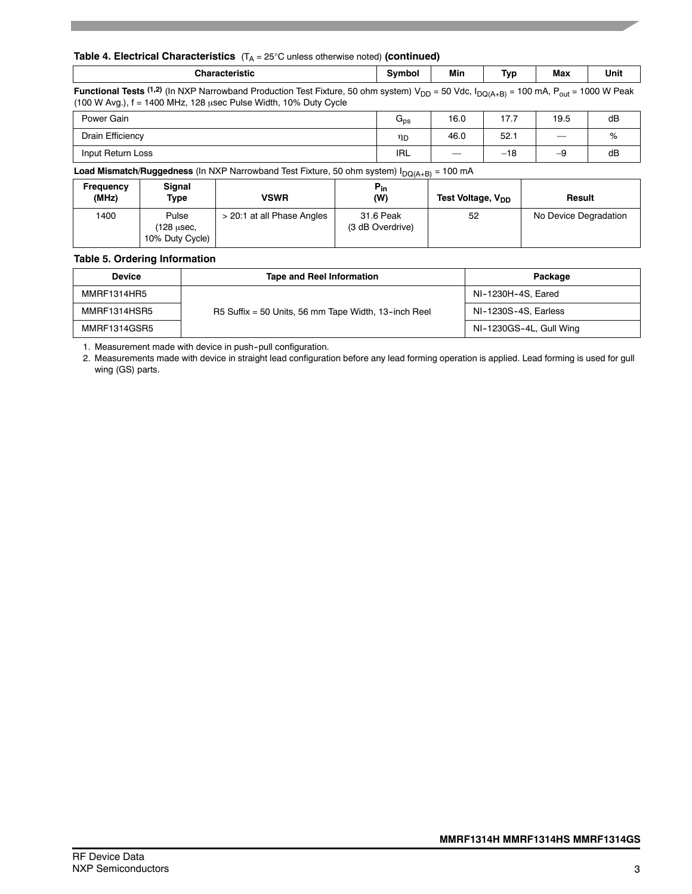## **Table 4. Electrical Characteristics** (T<sub>A</sub> = 25°C unless otherwise noted) (continued)

| Characteristic<br>aerisuc | svmbol | Min | $\overline{\phantom{a}}$<br>Tvn<br>. . | Max | Unit |
|---------------------------|--------|-----|----------------------------------------|-----|------|
|                           |        |     |                                        |     |      |

**Functional Tests** (1,2) (In NXP Narrowband Production Test Fixture, 50 ohm system) V<sub>DD</sub> = 50 Vdc, I<sub>DQ(A+B)</sub> = 100 mA, P<sub>out</sub> = 1000 W Peak (100 W Avg.), f = 1400 MHz, 128 μsec Pulse Width, 10% Duty Cycle

| Power Gain        | u <sub>ps</sub> | 16.0              | 17.7  | 19.5 | dB |
|-------------------|-----------------|-------------------|-------|------|----|
| Drain Efficiency  | ηD              | 46.0              | 52.1  | __   | 70 |
| Input Return Loss | <b>IRL</b>      | $\hspace{0.05cm}$ | $-18$ | -9   | dB |

**Load Mismatch/Ruggedness** (In NXP Narrowband Test Fixture, 50 ohm system)  $I_{DQ(A+B)} = 100$  mA

| Frequency<br>(MHz) | Signal<br>Type                         | <b>VSWR</b>                | $P_{in}$<br>(W)               | Test Voltage, V <sub>DD</sub> | Result                |
|--------------------|----------------------------------------|----------------------------|-------------------------------|-------------------------------|-----------------------|
| 1400               | Pulse<br>(128 usec,<br>10% Duty Cycle) | > 20:1 at all Phase Angles | 31.6 Peak<br>(3 dB Overdrive) | 52                            | No Device Degradation |

#### **Table 5. Ordering Information**

| <b>Device</b> | <b>Tape and Reel Information</b>                     | Package                 |
|---------------|------------------------------------------------------|-------------------------|
| MMRF1314HR5   |                                                      | NI-1230H-4S, Eared      |
| MMRF1314HSR5  | R5 Suffix = 50 Units, 56 mm Tape Width, 13-inch Reel | NI-1230S-4S, Earless    |
| MMRF1314GSR5  |                                                      | NI-1230GS-4L, Gull Wing |

1. Measurement made with device in push--pull configuration.

2. Measurements made with device in straight lead configuration before any lead forming operation is applied. Lead forming is used for gull wing (GS) parts.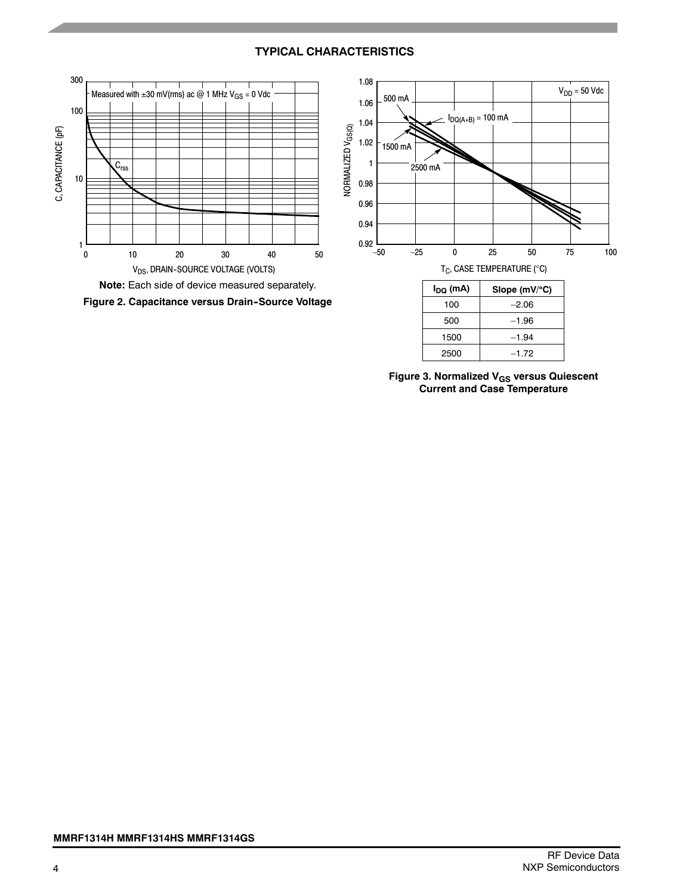## **TYPICAL CHARACTERISTICS**



**Figure 3. Normalized VGS versus Quiescent Current and Case Temperature**

2500 –1.72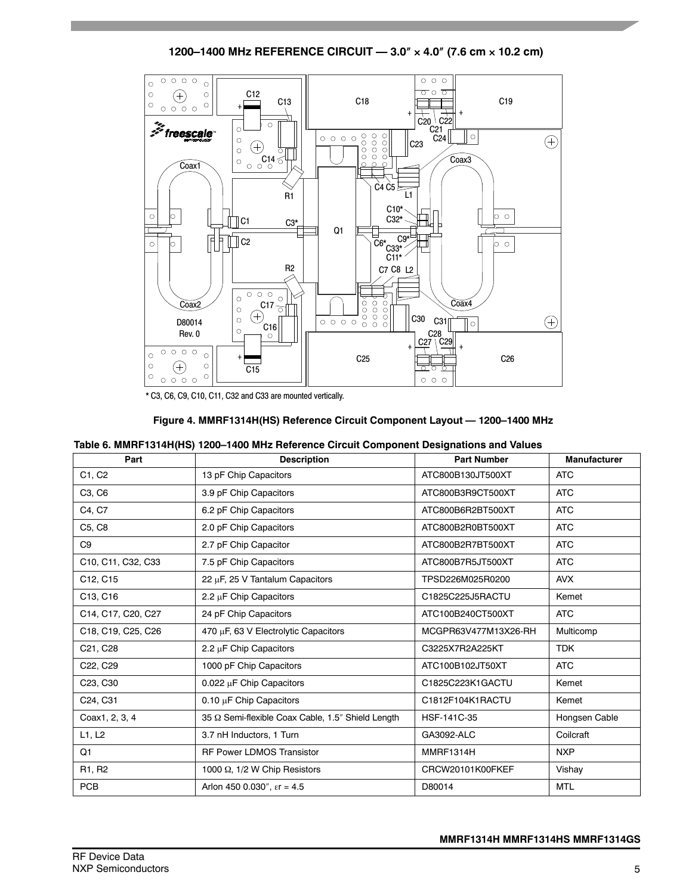**1200–1400 MHz REFERENCE CIRCUIT — 3.0**″ × **4.0**″ **(7.6 cm** × **10.2 cm)**



\* C3, C6, C9, C10, C11, C32 and C33 are mounted vertically.

| Figure 4. MMRF1314H(HS) Reference Circuit Component Layout - 1200-1400 MHz |  |  |
|----------------------------------------------------------------------------|--|--|
|----------------------------------------------------------------------------|--|--|

|  | Table 6. MMRF1314H(HS) 1200-1400 MHz Reference Circuit Component Designations and Values |  |  |
|--|------------------------------------------------------------------------------------------|--|--|
|--|------------------------------------------------------------------------------------------|--|--|

| Part                              | <b>Description</b>                                | <b>Part Number</b>   | <b>Manufacturer</b> |
|-----------------------------------|---------------------------------------------------|----------------------|---------------------|
| C1, C2                            | 13 pF Chip Capacitors                             | ATC800B130JT500XT    | <b>ATC</b>          |
| C3, C6                            | 3.9 pF Chip Capacitors                            | ATC800B3R9CT500XT    | <b>ATC</b>          |
| C4, C7                            | 6.2 pF Chip Capacitors                            | ATC800B6R2BT500XT    | <b>ATC</b>          |
| C5, C8                            | 2.0 pF Chip Capacitors                            | ATC800B2R0BT500XT    | <b>ATC</b>          |
| C <sub>9</sub>                    | 2.7 pF Chip Capacitor                             | ATC800B2R7BT500XT    | <b>ATC</b>          |
| C10, C11, C32, C33                | 7.5 pF Chip Capacitors                            | ATC800B7R5JT500XT    | <b>ATC</b>          |
| C12, C15                          | 22 µF, 25 V Tantalum Capacitors                   | TPSD226M025R0200     | <b>AVX</b>          |
| C13, C16                          | 2.2 $\mu$ F Chip Capacitors                       | C1825C225J5RACTU     | Kemet               |
| C14, C17, C20, C27                | 24 pF Chip Capacitors                             | ATC100B240CT500XT    | <b>ATC</b>          |
| C18, C19, C25, C26                | 470 µF, 63 V Electrolytic Capacitors              | MCGPR63V477M13X26-RH | Multicomp           |
| C21, C28                          | 2.2 $\mu$ F Chip Capacitors                       | C3225X7R2A225KT      | <b>TDK</b>          |
| C22, C29                          | 1000 pF Chip Capacitors                           | ATC100B102JT50XT     | <b>ATC</b>          |
| C <sub>23</sub> , C <sub>30</sub> | 0.022 $\mu$ F Chip Capacitors                     | C1825C223K1GACTU     | Kemet               |
| C24, C31                          | 0.10 $\mu$ F Chip Capacitors                      | C1812F104K1RACTU     | Kemet               |
| Coax1, 2, 3, 4                    | 35 Q Semi-flexible Coax Cable, 1.5" Shield Length | HSF-141C-35          | Hongsen Cable       |
| L1, L2                            | 3.7 nH Inductors, 1 Turn                          | GA3092-ALC           | Coilcraft           |
| Q1                                | <b>RF Power LDMOS Transistor</b>                  | MMRF1314H            | <b>NXP</b>          |
| R1, R2                            | 1000 $\Omega$ , 1/2 W Chip Resistors              | CRCW20101K00FKEF     | Vishay              |
| <b>PCB</b>                        | Arlon 450 0.030", $\epsilon$ r = 4.5              | D80014               | <b>MTL</b>          |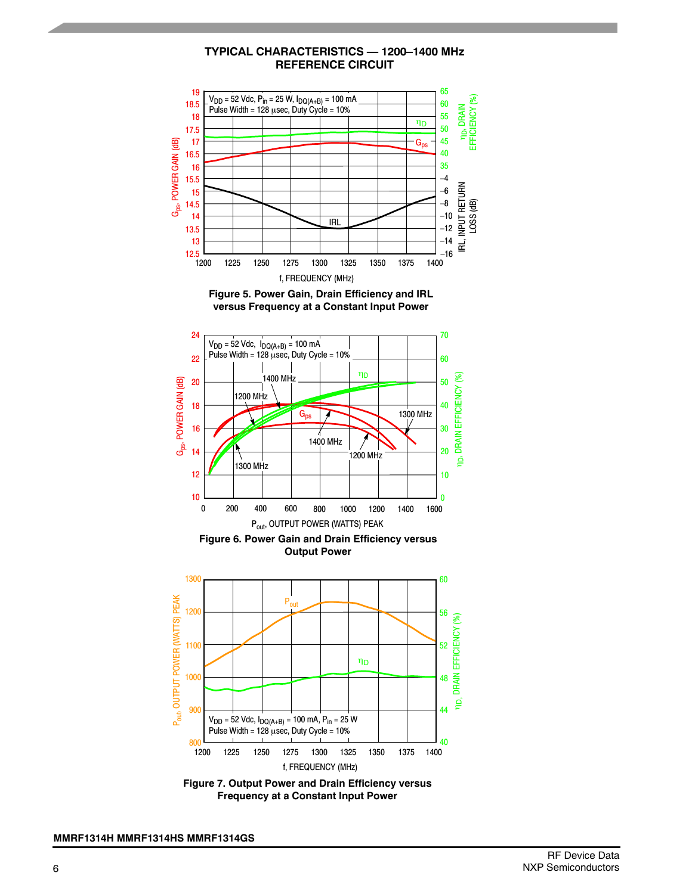## **TYPICAL CHARACTERISTICS — 1200–1400 MHz REFERENCE CIRCUIT**







**Output Power**



**Figure 7. Output Power and Drain Efficiency versus Frequency at a Constant Input Power**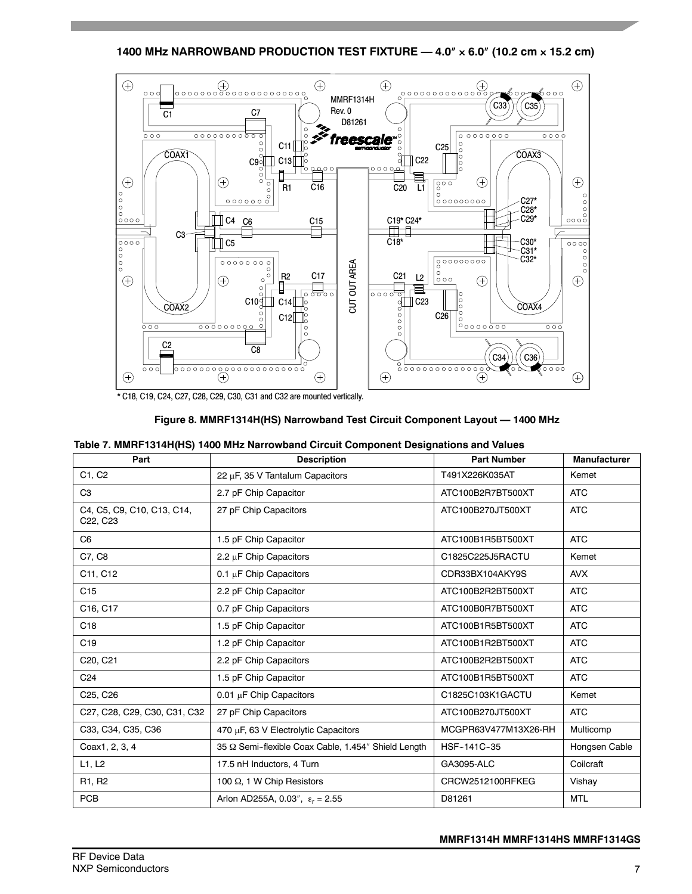**1400 MHz NARROWBAND PRODUCTION TEST FIXTURE — 4.0**″ × **6.0**″ **(10.2 cm** × **15.2 cm)**



|  | Figure 8. MMRF1314H(HS) Narrowband Test Circuit Component Layout - 1400 MHz |
|--|-----------------------------------------------------------------------------|
|--|-----------------------------------------------------------------------------|

|  | Table 7. MMRF1314H(HS) 1400 MHz Narrowband Circuit Component Designations and Values |
|--|--------------------------------------------------------------------------------------|
|  |                                                                                      |

| Part                                                            | <b>Description</b>                                  | <b>Part Number</b>   | <b>Manufacturer</b> |
|-----------------------------------------------------------------|-----------------------------------------------------|----------------------|---------------------|
| C1, C2                                                          | 22 µF, 35 V Tantalum Capacitors                     | T491X226K035AT       | Kemet               |
| C <sub>3</sub>                                                  | 2.7 pF Chip Capacitor                               | ATC100B2R7BT500XT    | <b>ATC</b>          |
| C4, C5, C9, C10, C13, C14,<br>C <sub>22</sub> , C <sub>23</sub> | 27 pF Chip Capacitors                               | ATC100B270JT500XT    | <b>ATC</b>          |
| C <sub>6</sub>                                                  | 1.5 pF Chip Capacitor                               | ATC100B1R5BT500XT    | <b>ATC</b>          |
| C7, C8                                                          | 2.2 µF Chip Capacitors                              | C1825C225J5RACTU     | Kemet               |
| C11, C12                                                        | 0.1 µF Chip Capacitors                              | CDR33BX104AKY9S      | <b>AVX</b>          |
| C <sub>15</sub>                                                 | 2.2 pF Chip Capacitor                               | ATC100B2R2BT500XT    | <b>ATC</b>          |
| C16, C17                                                        | 0.7 pF Chip Capacitors                              | ATC100B0R7BT500XT    | <b>ATC</b>          |
| C <sub>18</sub>                                                 | 1.5 pF Chip Capacitor                               | ATC100B1R5BT500XT    | <b>ATC</b>          |
| C19                                                             | 1.2 pF Chip Capacitor                               | ATC100B1R2BT500XT    | <b>ATC</b>          |
| C20, C21                                                        | 2.2 pF Chip Capacitors                              | ATC100B2R2BT500XT    | <b>ATC</b>          |
| C <sub>24</sub>                                                 | 1.5 pF Chip Capacitor                               | ATC100B1R5BT500XT    | <b>ATC</b>          |
| C25, C26                                                        | $0.01 \mu$ F Chip Capacitors                        | C1825C103K1GACTU     | Kemet               |
| C27, C28, C29, C30, C31, C32                                    | 27 pF Chip Capacitors                               | ATC100B270JT500XT    | <b>ATC</b>          |
| C33, C34, C35, C36                                              | 470 µF, 63 V Electrolytic Capacitors                | MCGPR63V477M13X26-RH | Multicomp           |
| Coax1, 2, 3, 4                                                  | 35 Ω Semi-flexible Coax Cable, 1.454" Shield Length | HSF-141C-35          | Hongsen Cable       |
| L1, L2                                                          | 17.5 nH Inductors, 4 Turn                           | <b>GA3095-ALC</b>    | Coilcraft           |
| R <sub>1</sub> , R <sub>2</sub>                                 | 100 Ω, 1 W Chip Resistors                           | CRCW2512100RFKEG     | Vishay              |
| PCB                                                             | Arlon AD255A, 0.03", $\epsilon_r = 2.55$            | D81261               | <b>MTL</b>          |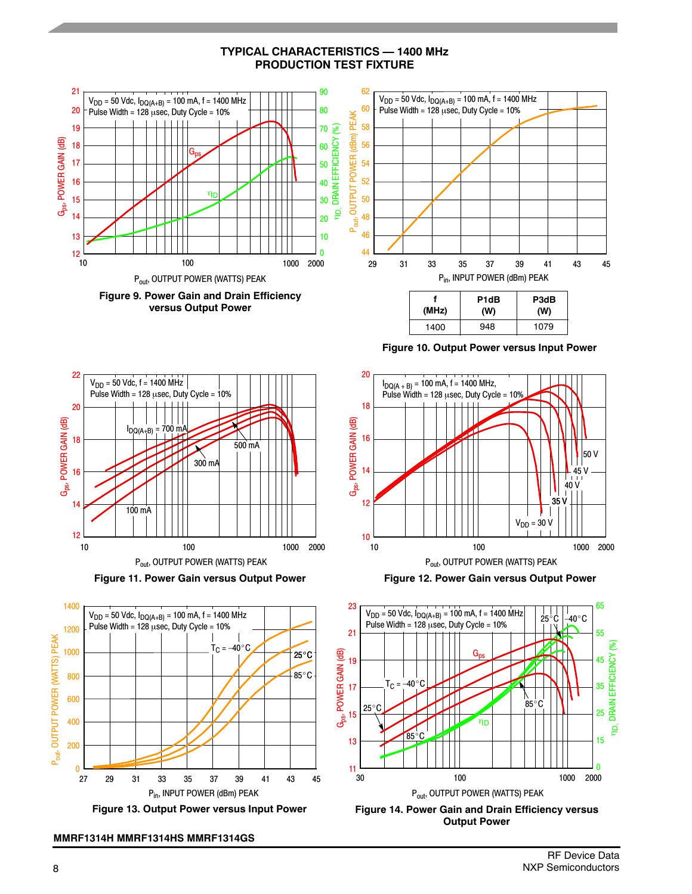**TYPICAL CHARACTERISTICS — 1400 MHz PRODUCTION TEST FIXTURE**





**Figure 11. Power Gain versus Output Power**



**Figure 13. Output Power versus Input Power**

**MMRF1314H MMRF1314HS MMRF1314GS**

**Figure 10. Output Power versus Input Power**



**Figure 12. Power Gain versus Output Power**



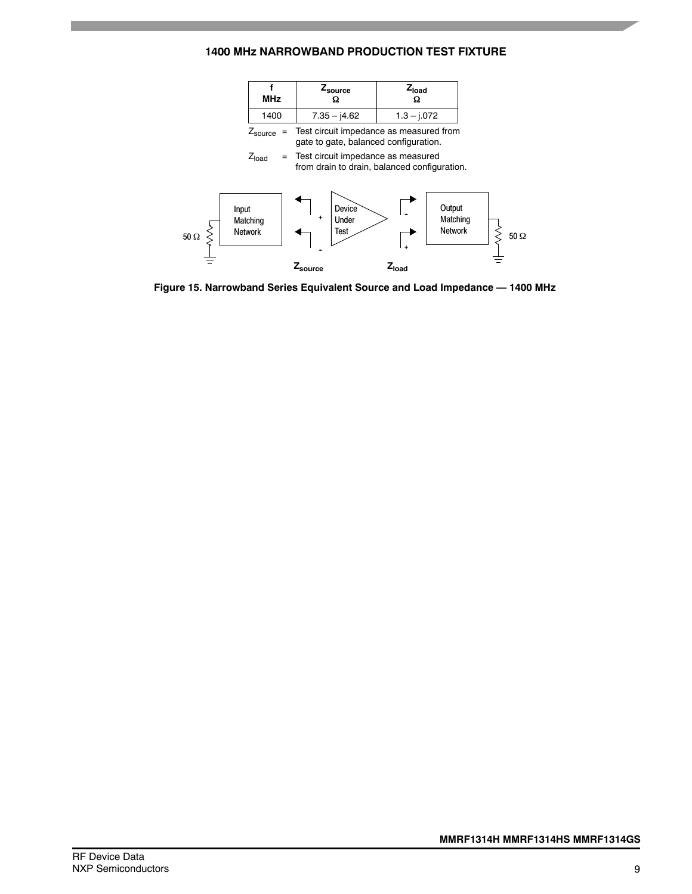## **1400 MHz NARROWBAND PRODUCTION TEST FIXTURE**



**Figure 15. Narrowband Series Equivalent Source and Load Impedance — 1400 MHz**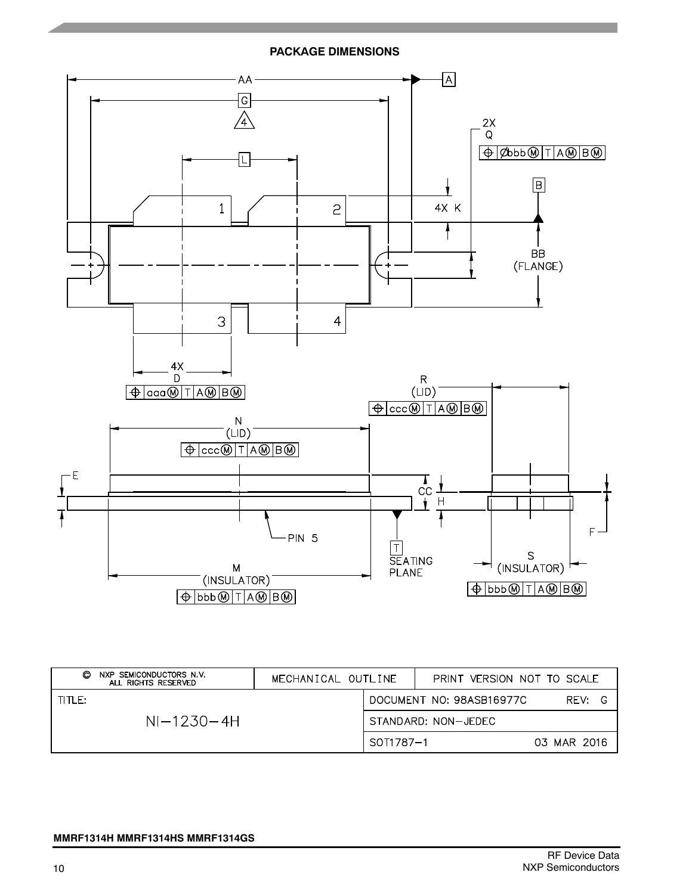**PACKAGE DIMENSIONS**



| NXP SEMICONDUCTORS N.V.<br>O<br>ALL RIGHTS RESERVED | MECHANICAL OUTLINE |           | PRINT VERSION NOT TO SCALE |             |
|-----------------------------------------------------|--------------------|-----------|----------------------------|-------------|
| TITLE:                                              |                    |           | DOCUMENT NO: 98ASB16977C   | RFV:        |
| $NI-1230-4H$                                        |                    |           | STANDARD: NON-JEDEC        |             |
|                                                     |                    | SOT1787-1 |                            | 03 MAR 2016 |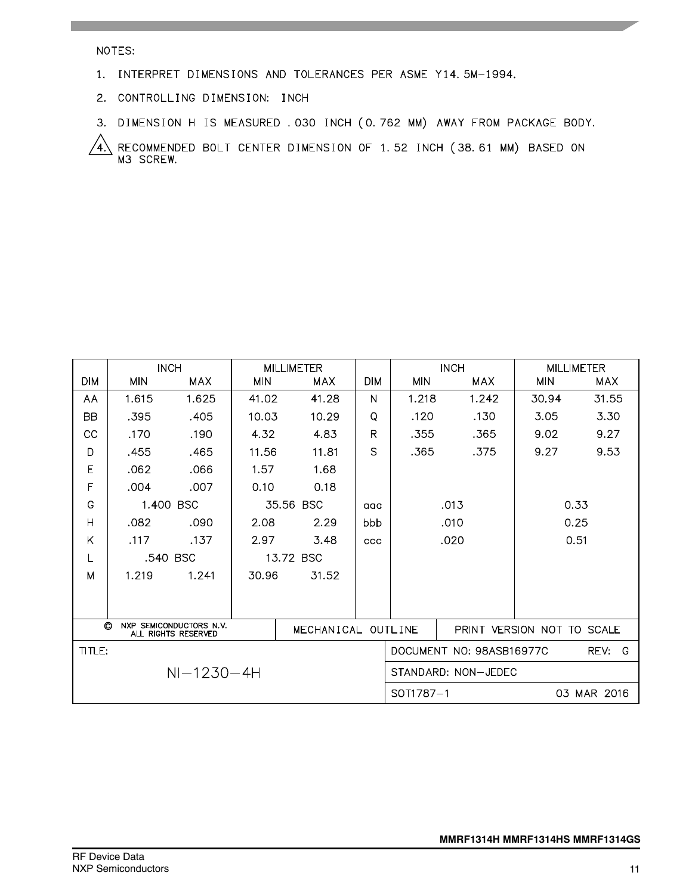## NOTES:

- 1. INTERPRET DIMENSIONS AND TOLERANCES PER ASME Y14.5M-1994.
- 2. CONTROLLING DIMENSION: INCH
- 3. DIMENSION H IS MEASURED . 030 INCH (0.762 MM) AWAY FROM PACKAGE BODY.

RECOMMENDED BOLT CENTER DIMENSION OF 1.52 INCH (38.61 MM) BASED ON<br>M3 SCREW. 4)

|                | <b>INCH</b> |                                                | <b>MILLIMETER</b> |                    |            | <b>INCH</b>         |                          |                            | <b>MILLIMETER</b>    |
|----------------|-------------|------------------------------------------------|-------------------|--------------------|------------|---------------------|--------------------------|----------------------------|----------------------|
| <b>DIM</b>     | <b>MIN</b>  | MAX                                            | <b>MIN</b>        | <b>MAX</b>         | <b>DIM</b> | <b>MIN</b>          | <b>MAX</b>               | <b>MIN</b>                 | <b>MAX</b>           |
| AA             | 1.615       | 1.625                                          | 41.02             | 41.28              | N          | 1.218               | 1.242                    | 30.94                      | 31.55                |
| <b>BB</b>      | .395        | .405                                           | 10.03             | 10.29              | Q          | .120                | .130                     | 3.05                       | 3.30                 |
| CC             | .170        | .190                                           | 4.32              | 4.83               | R          | .355                | .365                     | 9.02                       | 9.27                 |
| D              | .455        | .465                                           | 11.56             | 11.81              | S          | .365                | .375                     | 9.27                       | 9.53                 |
| E              | .062        | .066                                           | 1.57              | 1.68               |            |                     |                          |                            |                      |
| F              | .004        | .007                                           | 0.10              | 0.18               |            |                     |                          |                            |                      |
| G              |             | 1.400 BSC                                      |                   | 35.56 BSC          | aaa        |                     | .013                     | 0.33                       |                      |
| $\overline{H}$ | .082        | .090                                           | 2.08              | 2.29               | bbb        |                     | .010                     | 0.25                       |                      |
| Κ              | .117        | .137                                           | 2.97              | 3.48               | <b>CCC</b> |                     | .020                     |                            | 0.51                 |
| L              |             | .540 BSC                                       |                   | 13.72 BSC          |            |                     |                          |                            |                      |
| M              | 1.219       | 1.241                                          | 30.96             | 31.52              |            |                     |                          |                            |                      |
|                |             |                                                |                   |                    |            |                     |                          |                            |                      |
|                |             |                                                |                   |                    |            |                     |                          |                            |                      |
| O              |             | NXP SEMICONDUCTORS N.V.<br>ALL RIGHTS RESERVED |                   | MECHANICAL OUTLINE |            |                     |                          | PRINT VERSION NOT TO SCALE |                      |
| TITLE:         |             |                                                |                   |                    |            |                     | DOCUMENT NO: 98ASB16977C |                            | REV:<br><sup>G</sup> |
|                |             | $NI-1230-4H$                                   |                   |                    |            | STANDARD: NON-JEDEC |                          |                            |                      |
|                |             |                                                |                   |                    |            | SOT1787-1           |                          |                            | 03 MAR 2016          |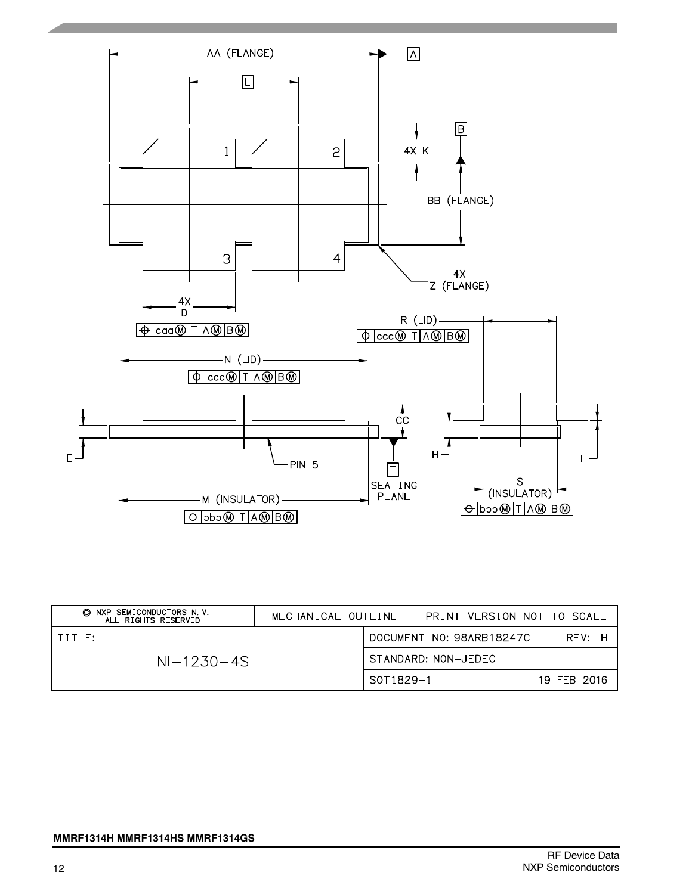

| © NXP SEMICONDUCTORS N.V.<br>ALL RIGHTS RESERVED | MECHANICAL OUTLINE |                     | PRINT VERSION NOT TO SCALE |             |
|--------------------------------------------------|--------------------|---------------------|----------------------------|-------------|
| TITIF:                                           |                    |                     | DOCUMENT NO: 98ARB18247C   | RFV: H      |
| $NI-1230-4S$                                     |                    | STANDARD: NON-JEDEC |                            |             |
|                                                  |                    | S0T1829-1           |                            | 19 FEB 2016 |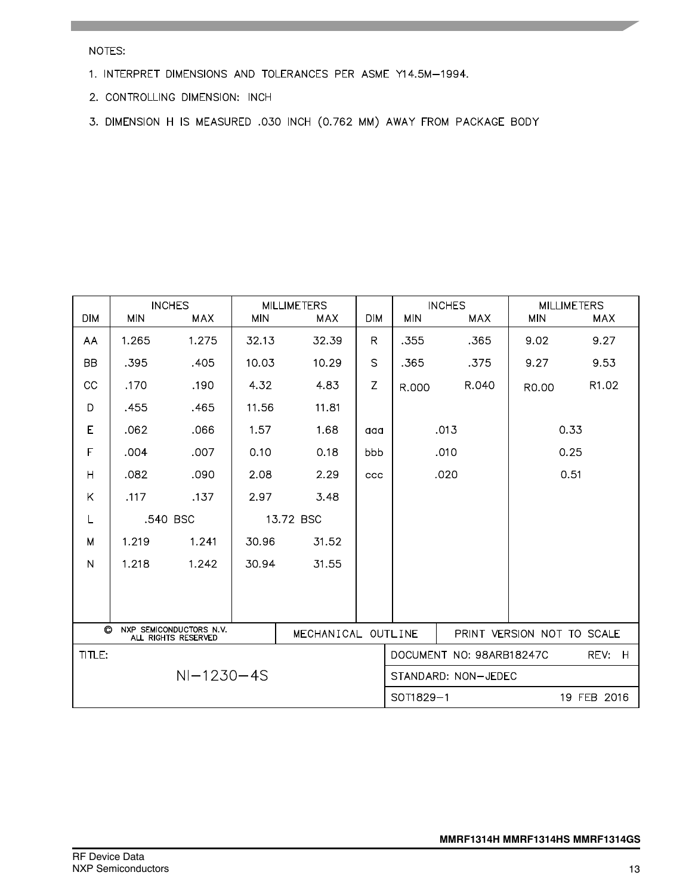NOTES:

- 1. INTERPRET DIMENSIONS AND TOLERANCES PER ASME Y14.5M-1994.
- 2. CONTROLLING DIMENSION: INCH
- 3. DIMENSION H IS MEASURED .030 INCH (0.762 MM) AWAY FROM PACKAGE BODY

| <b>DIM</b>   | <b>MIN</b> | <b>INCHES</b><br><b>MAX</b>                    | <b>MIN</b> | <b>MILLIMETERS</b><br><b>MAX</b> | <b>DIM</b>   | <b>MIN</b>                            | <b>INCHES</b><br><b>MAX</b> | <b>MILLIMETERS</b><br><b>MIN</b><br><b>MAX</b> |       |
|--------------|------------|------------------------------------------------|------------|----------------------------------|--------------|---------------------------------------|-----------------------------|------------------------------------------------|-------|
| AA           | 1.265      | 1.275                                          | 32.13      | 32.39                            | R            | .355                                  | .365                        | 9.02                                           | 9.27  |
| <b>BB</b>    | .395       | .405                                           | 10.03      | 10.29                            | $\mathsf{S}$ | .365                                  | .375                        | 9.27                                           | 9.53  |
| CC           | .170       | .190                                           | 4.32       | 4.83                             | Z            | R.000                                 | R.040                       | R0.00                                          | R1.02 |
| D            | .455       | .465                                           | 11.56      | 11.81                            |              |                                       |                             |                                                |       |
| E            | .062       | .066                                           | 1.57       | 1.68                             | aaa          |                                       | .013                        |                                                | 0.33  |
| F            | .004       | .007                                           | 0.10       | 0.18                             | bbb          |                                       | .010                        |                                                | 0.25  |
| Η            | .082       | .090                                           | 2.08       | 2.29                             | ccc          |                                       | .020<br>0.51                |                                                |       |
| Κ            | .117       | .137                                           | 2.97       | 3.48                             |              |                                       |                             |                                                |       |
| L            |            | .540 BSC                                       |            | 13.72 BSC                        |              |                                       |                             |                                                |       |
| M            | 1.219      | 1.241                                          | 30.96      | 31.52                            |              |                                       |                             |                                                |       |
| N            | 1.218      | 1.242                                          | 30.94      | 31.55                            |              |                                       |                             |                                                |       |
|              |            |                                                |            |                                  |              |                                       |                             |                                                |       |
|              |            |                                                |            |                                  |              |                                       |                             |                                                |       |
| $\odot$      |            | NXP SEMICONDUCTORS N.V.<br>ALL RIGHTS RESERVED |            | MECHANICAL OUTLINE               |              |                                       |                             | PRINT VERSION NOT TO SCALE                     |       |
| TITLE:       |            |                                                |            |                                  |              | DOCUMENT NO: 98ARB18247C<br>REV:<br>H |                             |                                                |       |
| $NI-1230-4S$ |            |                                                |            |                                  |              | STANDARD: NON-JEDEC                   |                             |                                                |       |
| SOT1829-1    |            |                                                |            |                                  |              |                                       | 19 FEB 2016                 |                                                |       |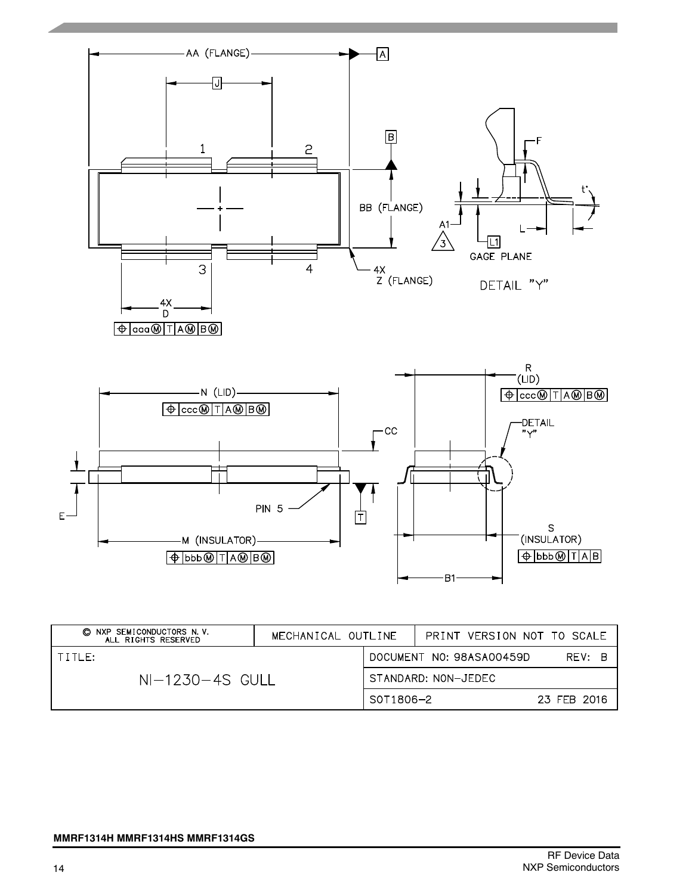

| © NXP SEMICONDUCTORS N.V.<br>ALL RIGHTS RESERVED | MECHANICAL OUTLINE                 |           | PRINT VERSION NOT TO SCALE |             |
|--------------------------------------------------|------------------------------------|-----------|----------------------------|-------------|
| $1$ title:                                       | DOCUMENT NO: 98ASA00459D<br>RFV: B |           |                            |             |
| $NI-1230-4S$ GULL                                | STANDARD: NON-JEDEC                |           |                            |             |
|                                                  |                                    | S0T1806-2 |                            | 23 FEB 2016 |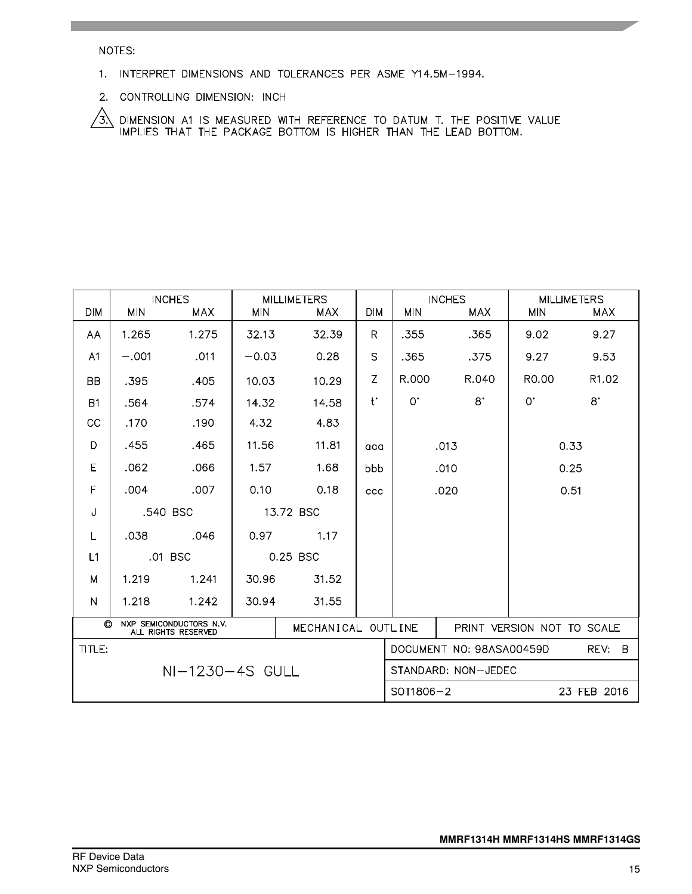NOTES:

- 1. INTERPRET DIMENSIONS AND TOLERANCES PER ASME Y14.5M-1994.
- 2. CONTROLLING DIMENSION: INCH

 $\sqrt{3}$  dimension at is measured with reference to datum t. The positive value implies that the package bottom is higher than the lead bottom.

| <b>DIM</b>     | <b>MIN</b> | <b>INCHES</b><br><b>MAX</b>                    | <b>MIN</b> | <b>MILLIMETERS</b><br><b>MAX</b> | <b>DIM</b>  | <b>MIN</b>                         | <b>INCHES</b><br><b>MAX</b> | <b>MIN</b>                 | <b>MILLIMETERS</b><br><b>MAX</b> |
|----------------|------------|------------------------------------------------|------------|----------------------------------|-------------|------------------------------------|-----------------------------|----------------------------|----------------------------------|
| AA             | 1.265      | 1.275                                          | 32.13      | 32.39                            | R.          | .355                               | .365                        | 9.02                       | 9.27                             |
| A <sub>1</sub> | $-.001$    | .011                                           | $-0.03$    | 0.28                             | S           | .365                               | .375                        | 9.27                       | 9.53                             |
| <b>BB</b>      | .395       | .405                                           | 10.03      | 10.29                            | Z           | R.000                              | R.040                       | R <sub>0</sub> .00         | R <sub>1.02</sub>                |
| <b>B1</b>      | .564       | .574                                           | 14.32      | 14.58                            | $t^{\star}$ | $0^{\circ}$                        | $8^{\circ}$                 | $0^{\cdot}$                | $8^{\circ}$                      |
| cc             | .170       | .190                                           | 4.32       | 4.83                             |             |                                    |                             |                            |                                  |
| D              | .455       | .465                                           | 11.56      | 11.81                            | aaa         |                                    | .013                        |                            | 0.33                             |
| E              | .062       | .066                                           | 1.57       | 1.68                             | bbb         |                                    | 0.25<br>.010                |                            |                                  |
| F              | .004       | .007                                           | 0.10       | 0.18                             | ccc         | .020                               |                             | 0.51                       |                                  |
| J              | .540 BSC   |                                                | 13.72 BSC  |                                  |             |                                    |                             |                            |                                  |
| L              | .038       | .046                                           | 0.97       | 1.17                             |             |                                    |                             |                            |                                  |
| L1             |            | .01 BSC                                        |            | 0.25 BSC                         |             |                                    |                             |                            |                                  |
| M              | 1.219      | 1.241                                          | 30.96      | 31.52                            |             |                                    |                             |                            |                                  |
| N              | 1.218      | 1.242                                          | 30.94      | 31.55                            |             |                                    |                             |                            |                                  |
| O              |            | NXP SEMICONDUCTORS N.V.<br>ALL RIGHTS RESERVED |            | MECHANICAL OUTLINE               |             |                                    |                             | PRINT VERSION NOT TO SCALE |                                  |
| TITLE:         |            |                                                |            |                                  |             | DOCUMENT NO: 98ASA00459D<br>REV: B |                             |                            |                                  |
|                |            | NI-1230-4S GULL                                |            |                                  |             | STANDARD: NON-JEDEC                |                             |                            |                                  |
|                |            |                                                |            |                                  |             | SOT1806-2                          |                             |                            | 23 FEB 2016                      |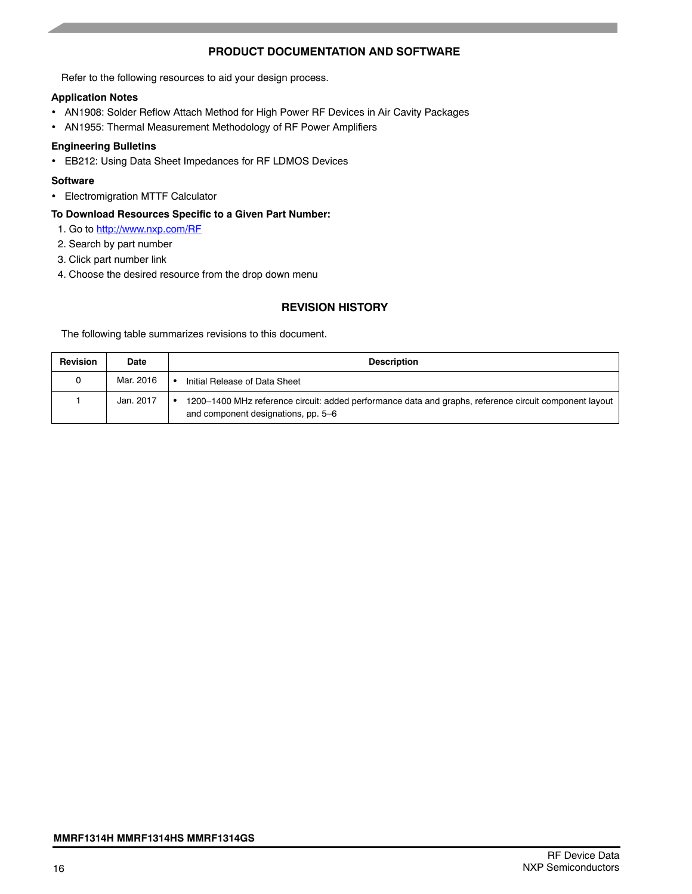## **PRODUCT DOCUMENTATION AND SOFTWARE**

Refer to the following resources to aid your design process.

## **Application Notes**

- AN1908: Solder Reflow Attach Method for High Power RF Devices in Air Cavity Packages
- AN1955: Thermal Measurement Methodology of RF Power Amplifiers

## **Engineering Bulletins**

• EB212: Using Data Sheet Impedances for RF LDMOS Devices

## **Software**

• Electromigration MTTF Calculator

## **To Download Resources Specific to a Given Part Number:**

- 1. Go to http://www.nxp.com/RF
- 2. Search by part number
- 3. Click part number link
- 4. Choose the desired resource from the drop down menu

## **REVISION HISTORY**

The following table summarizes revisions to this document.

| <b>Revision</b> | <b>Date</b> | <b>Description</b>                                                                                                                            |
|-----------------|-------------|-----------------------------------------------------------------------------------------------------------------------------------------------|
|                 | Mar. 2016   | Initial Release of Data Sheet                                                                                                                 |
|                 | Jan. 2017   | 1200–1400 MHz reference circuit: added performance data and graphs, reference circuit component layout<br>and component designations, pp. 5-6 |